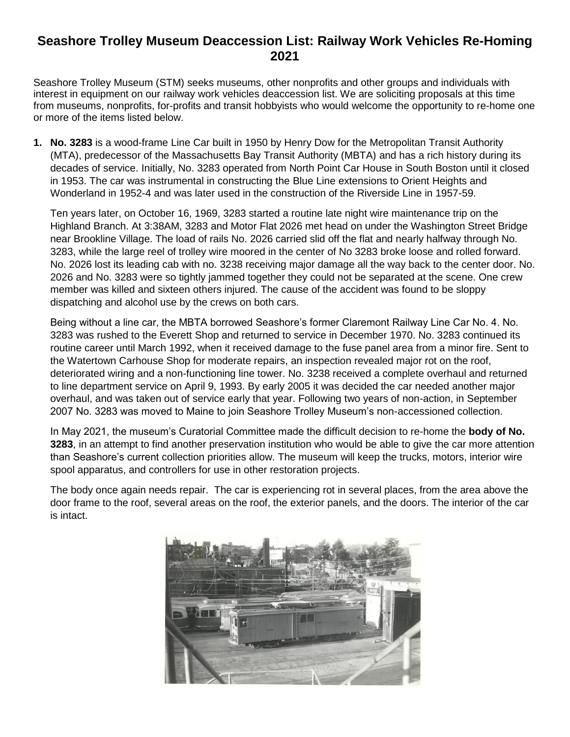## **Seashore Trolley Museum Deaccession List: Railway Work Vehicles Re-Homing 2021**

Seashore Trolley Museum (STM) seeks museums, other nonprofits and other groups and individuals with interest in equipment on our railway work vehicles deaccession list. We are soliciting proposals at this time from museums, nonprofits, for-profits and transit hobbyists who would welcome the opportunity to re-home one or more of the items listed below.

**1. No. 3283** is a wood-frame Line Car built in 1950 by Henry Dow for the Metropolitan Transit Authority (MTA), predecessor of the Massachusetts Bay Transit Authority (MBTA) and has a rich history during its decades of service. Initially, No. 3283 operated from North Point Car House in South Boston until it closed in 1953. The car was instrumental in constructing the Blue Line extensions to Orient Heights and Wonderland in 1952-4 and was later used in the construction of the Riverside Line in 1957-59.

Ten years later, on October 16, 1969, 3283 started a routine late night wire maintenance trip on the Highland Branch. At 3:38AM, 3283 and Motor Flat 2026 met head on under the Washington Street Bridge near Brookline Village. The load of rails No. 2026 carried slid off the flat and nearly halfway through No. 3283, while the large reel of trolley wire moored in the center of No 3283 broke loose and rolled forward. No. 2026 lost its leading cab with no. 3238 receiving major damage all the way back to the center door. No. 2026 and No. 3283 were so tightly jammed together they could not be separated at the scene. One crew member was killed and sixteen others injured. The cause of the accident was found to be sloppy dispatching and alcohol use by the crews on both cars.

Being without a line car, the MBTA borrowed Seashore's former Claremont Railway Line Car No. 4. No. 3283 was rushed to the Everett Shop and returned to service in December 1970. No. 3283 continued its routine career until March 1992, when it received damage to the fuse panel area from a minor fire. Sent to the Watertown Carhouse Shop for moderate repairs, an inspection revealed major rot on the roof, deteriorated wiring and a non-functioning line tower. No. 3238 received a complete overhaul and returned to line department service on April 9, 1993. By early 2005 it was decided the car needed another major overhaul, and was taken out of service early that year. Following two years of non-action, in September 2007 No. 3283 was moved to Maine to join Seashore Trolley Museum's non-accessioned collection.

In May 2021, the museum's Curatorial Committee made the difficult decision to re-home the **body of No. 3283**, in an attempt to find another preservation institution who would be able to give the car more attention than Seashore's current collection priorities allow. The museum will keep the trucks, motors, interior wire spool apparatus, and controllers for use in other restoration projects.

The body once again needs repair. The car is experiencing rot in several places, from the area above the door frame to the roof, several areas on the roof, the exterior panels, and the doors. The interior of the car is intact.

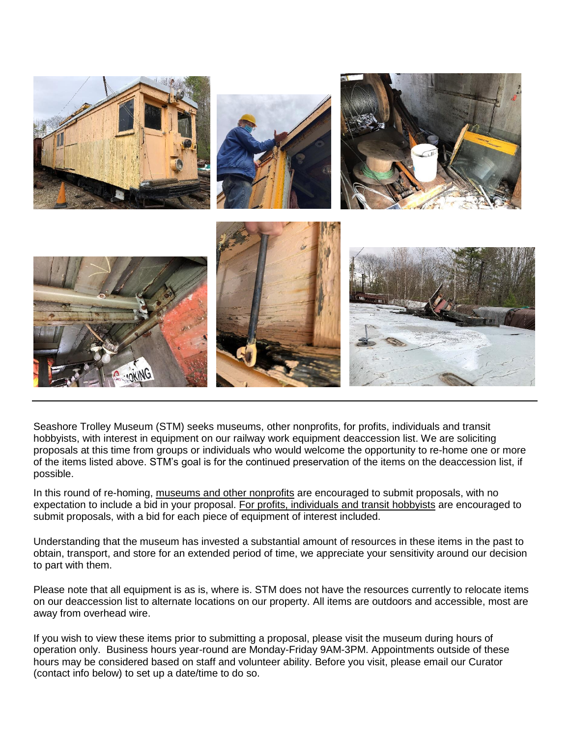

Seashore Trolley Museum (STM) seeks museums, other nonprofits, for profits, individuals and transit hobbyists, with interest in equipment on our railway work equipment deaccession list. We are soliciting proposals at this time from groups or individuals who would welcome the opportunity to re-home one or more of the items listed above. STM's goal is for the continued preservation of the items on the deaccession list, if possible.

In this round of re-homing, museums and other nonprofits are encouraged to submit proposals, with no expectation to include a bid in your proposal. For profits, individuals and transit hobbyists are encouraged to submit proposals, with a bid for each piece of equipment of interest included.

Understanding that the museum has invested a substantial amount of resources in these items in the past to obtain, transport, and store for an extended period of time, we appreciate your sensitivity around our decision to part with them.

Please note that all equipment is as is, where is. STM does not have the resources currently to relocate items on our deaccession list to alternate locations on our property. All items are outdoors and accessible, most are away from overhead wire.

If you wish to view these items prior to submitting a proposal, please visit the museum during hours of operation only. Business hours year-round are Monday-Friday 9AM-3PM. Appointments outside of these hours may be considered based on staff and volunteer ability. Before you visit, please email our Curator (contact info below) to set up a date/time to do so.